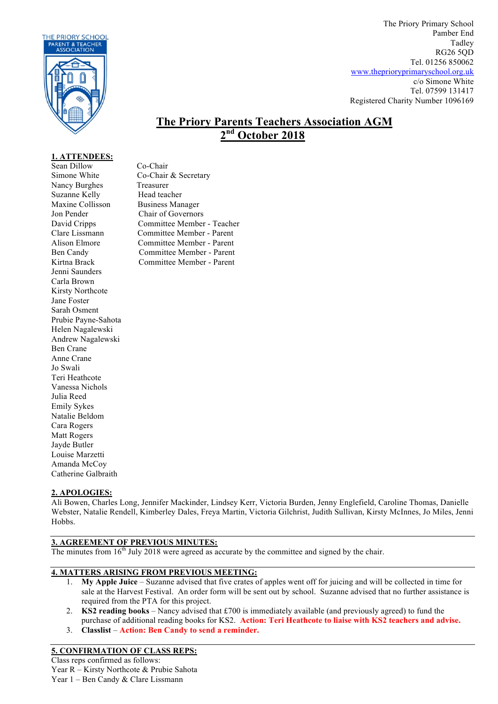

The Priory Primary School Pamber End Tadley RG26 5QD Tel. 01256 850062 www.theprioryprimaryschool.org.uk c/o Simone White Tel. 07599 131417 Registered Charity Number 1096169

# **The Priory Parents Teachers Association AGM 2nd October 2018**

### **1. ATTENDEES:**

Sean Dillow Co-Chair Simone White Co-Chair & Secretary Nancy Burghes Treasurer Suzanne Kelly Head teacher Maxine Collisson Business Manager Jon Pender Chair of Governors Jenni Saunders Carla Brown Kirsty Northcote Jane Foster Sarah Osment Prubie Payne-Sahota Helen Nagalewski Andrew Nagalewski Ben Crane Anne Crane Jo Swali Teri Heathcote Vanessa Nichols Julia Reed Emily Sykes Natalie Beldom Cara Rogers Matt Rogers Jayde Butler Louise Marzetti Amanda McCoy Catherine Galbraith

David Cripps Committee Member - Teacher Clare Lissmann Committee Member - Parent Alison Elmore Committee Member - Parent Ben Candy Committee Member - Parent Kirtna Brack Committee Member - Parent

#### **2. APOLOGIES:**

Ali Bowen, Charles Long, Jennifer Mackinder, Lindsey Kerr, Victoria Burden, Jenny Englefield, Caroline Thomas, Danielle Webster, Natalie Rendell, Kimberley Dales, Freya Martin, Victoria Gilchrist, Judith Sullivan, Kirsty McInnes, Jo Miles, Jenni Hobbs.

## **3. AGREEMENT OF PREVIOUS MINUTES:**

The minutes from 16<sup>th</sup> July 2018 were agreed as accurate by the committee and signed by the chair.

## **4. MATTERS ARISING FROM PREVIOUS MEETING:**

- 1. **My Apple Juice** Suzanne advised that five crates of apples went off for juicing and will be collected in time for sale at the Harvest Festival. An order form will be sent out by school. Suzanne advised that no further assistance is required from the PTA for this project.
- 2. **KS2 reading books** Nancy advised that £700 is immediately available (and previously agreed) to fund the purchase of additional reading books for KS2. **Action: Teri Heathcote to liaise with KS2 teachers and advise.**
- 3. **Classlist Action: Ben Candy to send a reminder.**

#### **5. CONFIRMATION OF CLASS REPS:**

Class reps confirmed as follows: Year R – Kirsty Northcote & Prubie Sahota Year 1 – Ben Candy & Clare Lissmann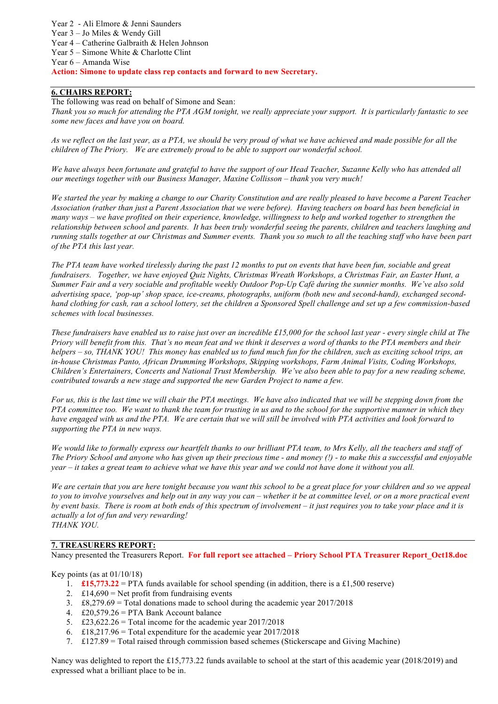Year 2 - Ali Elmore & Jenni Saunders Year 3 – Jo Miles & Wendy Gill Year 4 – Catherine Galbraith & Helen Johnson Year 5 – Simone White & Charlotte Clint Year 6 – Amanda Wise **Action: Simone to update class rep contacts and forward to new Secretary.**

## **6. CHAIRS REPORT:**

The following was read on behalf of Simone and Sean:

*Thank you so much for attending the PTA AGM tonight, we really appreciate your support. It is particularly fantastic to see some new faces and have you on board.*

*As we reflect on the last year, as a PTA, we should be very proud of what we have achieved and made possible for all the children of The Priory. We are extremely proud to be able to support our wonderful school.*

*We have always been fortunate and grateful to have the support of our Head Teacher, Suzanne Kelly who has attended all our meetings together with our Business Manager, Maxine Collisson – thank you very much!*

*We started the year by making a change to our Charity Constitution and are really pleased to have become a Parent Teacher Association (rather than just a Parent Association that we were before). Having teachers on board has been beneficial in many ways – we have profited on their experience, knowledge, willingness to help and worked together to strengthen the relationship between school and parents. It has been truly wonderful seeing the parents, children and teachers laughing and running stalls together at our Christmas and Summer events. Thank you so much to all the teaching staff who have been part of the PTA this last year.*

*The PTA team have worked tirelessly during the past 12 months to put on events that have been fun, sociable and great fundraisers. Together, we have enjoyed Quiz Nights, Christmas Wreath Workshops, a Christmas Fair, an Easter Hunt, a Summer Fair and a very sociable and profitable weekly Outdoor Pop-Up Café during the sunnier months. We've also sold advertising space, 'pop-up' shop space, ice-creams, photographs, uniform (both new and second-hand), exchanged secondhand clothing for cash, ran a school lottery, set the children a Sponsored Spell challenge and set up a few commission-based schemes with local businesses.*

*These fundraisers have enabled us to raise just over an incredible £15,000 for the school last year - every single child at The Priory will benefit from this. That's no mean feat and we think it deserves a word of thanks to the PTA members and their helpers – so, THANK YOU! This money has enabled us to fund much fun for the children, such as exciting school trips, an in-house Christmas Panto, African Drumming Workshops, Skipping workshops, Farm Animal Visits, Coding Workshops, Children's Entertainers, Concerts and National Trust Membership. We've also been able to pay for a new reading scheme, contributed towards a new stage and supported the new Garden Project to name a few.* 

*For us, this is the last time we will chair the PTA meetings. We have also indicated that we will be stepping down from the PTA committee too. We want to thank the team for trusting in us and to the school for the supportive manner in which they have engaged with us and the PTA. We are certain that we will still be involved with PTA activities and look forward to supporting the PTA in new ways.*

*We would like to formally express our heartfelt thanks to our brilliant PTA team, to Mrs Kelly, all the teachers and staff of The Priory School and anyone who has given up their precious time - and money (!) - to make this a successful and enjoyable year – it takes a great team to achieve what we have this year and we could not have done it without you all.*

*We are certain that you are here tonight because you want this school to be a great place for your children and so we appeal to you to involve yourselves and help out in any way you can – whether it be at committee level, or on a more practical event by event basis. There is room at both ends of this spectrum of involvement – it just requires you to take your place and it is actually a lot of fun and very rewarding! THANK YOU.*

#### **7. TREASURERS REPORT:**

Nancy presented the Treasurers Report. **For full report see attached – Priory School PTA Treasurer Report\_Oct18.doc**

Key points (as at  $01/10/18$ )

- 1. **£15,773.22** = PTA funds available for school spending (in addition, there is a £1,500 reserve)
- 2. £14,690 = Net profit from fundraising events
- 3. £8,279.69 = Total donations made to school during the academic year 2017/2018
- 4. £20,579.26 = PTA Bank Account balance
- 5. £23,622.26 = Total income for the academic year  $2017/2018$
- 6. £18,217.96 = Total expenditure for the academic year  $2017/2018$
- 7. £127.89 = Total raised through commission based schemes (Stickerscape and Giving Machine)

Nancy was delighted to report the £15,773.22 funds available to school at the start of this academic year (2018/2019) and expressed what a brilliant place to be in.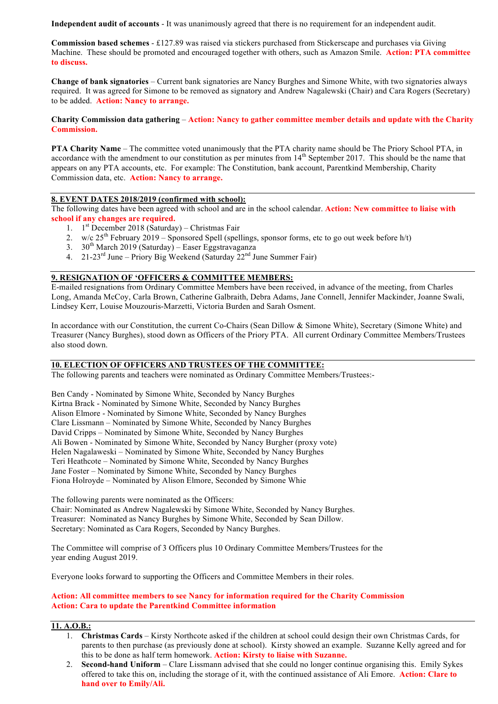**Independent audit of accounts** - It was unanimously agreed that there is no requirement for an independent audit.

**Commission based schemes** - £127.89 was raised via stickers purchased from Stickerscape and purchases via Giving Machine. These should be promoted and encouraged together with others, such as Amazon Smile. **Action: PTA committee to discuss.**

**Change of bank signatories** – Current bank signatories are Nancy Burghes and Simone White, with two signatories always required. It was agreed for Simone to be removed as signatory and Andrew Nagalewski (Chair) and Cara Rogers (Secretary) to be added. **Action: Nancy to arrange.**

#### **Charity Commission data gathering** – **Action: Nancy to gather committee member details and update with the Charity Commission.**

**PTA Charity Name** – The committee voted unanimously that the PTA charity name should be The Priory School PTA, in accordance with the amendment to our constitution as per minutes from  $14<sup>th</sup>$  September 2017. This should be the name that appears on any PTA accounts, etc. For example: The Constitution, bank account, Parentkind Membership, Charity Commission data, etc. **Action: Nancy to arrange.**

#### **8. EVENT DATES 2018/2019 (confirmed with school):**

The following dates have been agreed with school and are in the school calendar. **Action: New committee to liaise with school if any changes are required.**

- 1.  $1<sup>st</sup>$  December 2018 (Saturday) Christmas Fair
- 2. w/c  $25<sup>th</sup>$  February 2019 Sponsored Spell (spellings, sponsor forms, etc to go out week before h/t)
- 3. 30<sup>th</sup> March 2019 (Saturday) Easer Eggstravaganza
- 4. 21-23<sup>rd</sup> June Priory Big Weekend (Saturday  $22^{nd}$  June Summer Fair)

### **9. RESIGNATION OF 'OFFICERS & COMMITTEE MEMBERS:**

E-mailed resignations from Ordinary Committee Members have been received, in advance of the meeting, from Charles Long, Amanda McCoy, Carla Brown, Catherine Galbraith, Debra Adams, Jane Connell, Jennifer Mackinder, Joanne Swali, Lindsey Kerr, Louise Mouzouris-Marzetti, Victoria Burden and Sarah Osment.

In accordance with our Constitution, the current Co-Chairs (Sean Dillow & Simone White), Secretary (Simone White) and Treasurer (Nancy Burghes), stood down as Officers of the Priory PTA. All current Ordinary Committee Members/Trustees also stood down.

## **10. ELECTION OF OFFICERS AND TRUSTEES OF THE COMMITTEE:**

The following parents and teachers were nominated as Ordinary Committee Members/Trustees:-

Ben Candy - Nominated by Simone White, Seconded by Nancy Burghes Kirtna Brack - Nominated by Simone White, Seconded by Nancy Burghes Alison Elmore - Nominated by Simone White, Seconded by Nancy Burghes Clare Lissmann – Nominated by Simone White, Seconded by Nancy Burghes David Cripps – Nominated by Simone White, Seconded by Nancy Burghes Ali Bowen - Nominated by Simone White, Seconded by Nancy Burgher (proxy vote) Helen Nagalaweski – Nominated by Simone White, Seconded by Nancy Burghes Teri Heathcote – Nominated by Simone White, Seconded by Nancy Burghes Jane Foster – Nominated by Simone White, Seconded by Nancy Burghes Fiona Holroyde – Nominated by Alison Elmore, Seconded by Simone Whie

The following parents were nominated as the Officers: Chair: Nominated as Andrew Nagalewski by Simone White, Seconded by Nancy Burghes. Treasurer: Nominated as Nancy Burghes by Simone White, Seconded by Sean Dillow. Secretary: Nominated as Cara Rogers, Seconded by Nancy Burghes.

The Committee will comprise of 3 Officers plus 10 Ordinary Committee Members/Trustees for the year ending August 2019.

Everyone looks forward to supporting the Officers and Committee Members in their roles.

#### **Action: All committee members to see Nancy for information required for the Charity Commission Action: Cara to update the Parentkind Committee information**

## **11. A.O.B.:**

- 1. **Christmas Cards** Kirsty Northcote asked if the children at school could design their own Christmas Cards, for parents to then purchase (as previously done at school). Kirsty showed an example. Suzanne Kelly agreed and for this to be done as half term homework. **Action: Kirsty to liaise with Suzanne.**
- 2. **Second-hand Uniform** Clare Lissmann advised that she could no longer continue organising this. Emily Sykes offered to take this on, including the storage of it, with the continued assistance of Ali Emore. **Action: Clare to hand over to Emily/Ali.**